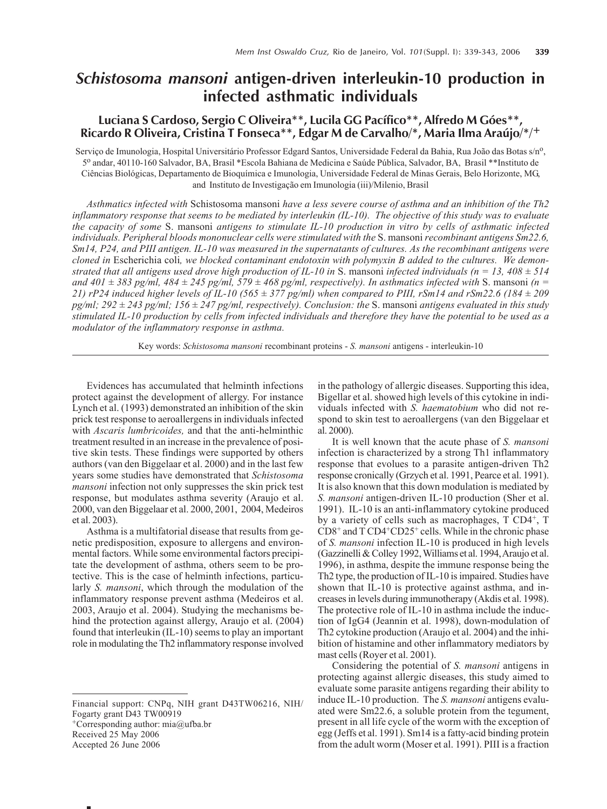# *Schistosoma mansoni* **antigen-driven interleukin-10 production in infected asthmatic individuals**

## Luciana S Cardoso, Sergio C Oliveira<sup>\*\*</sup>, Lucila GG Pacífico<sup>\*\*</sup>, Alfredo M Góes<sup>\*\*</sup>, Ricardo R Oliveira, Cristina T Fonseca<sup>\*\*</sup>, Edgar M de Carvalho/\*, Maria Ilma Araújo/\*/<sup>+</sup>

Serviço de Imunologia, Hospital Universitário Professor Edgard Santos, Universidade Federal da Bahia, Rua João das Botas s/nº, 5o andar, 40110-160 Salvador, BA, Brasil \*Escola Bahiana de Medicina e Sa˙de P˙blica, Salvador, BA, Brasil \*\*Instituto de Ciências Biológicas, Departamento de Bioquímica e Imunologia, Universidade Federal de Minas Gerais, Belo Horizonte, MG, and Instituto de Investigação em Imunologia (iii)/Milenio, Brasil

*Asthmatics infected with* Schistosoma mansoni *have a less severe course of asthma and an inhibition of the Th2 inflammatory response that seems to be mediated by interleukin (IL-10). The objective of this study was to evaluate the capacity of some* S. mansoni *antigens to stimulate IL-10 production in vitro by cells of asthmatic infected individuals. Peripheral bloods mononuclear cells were stimulated with the* S. mansoni *recombinant antigens Sm22.6, Sm14, P24, and PIII antigen. IL-10 was measured in the supernatants of cultures. As the recombinant antigens were cloned in* Escherichia coli*, we blocked contaminant endotoxin with polymyxin B added to the cultures. We demonstrated that all antigens used drove high production of IL-10 in* S. mansoni *infected individuals (n = 13, 408 ± 514 and 401*  $\pm$  383 pg/ml, 484  $\pm$  245 pg/ml, 579  $\pm$  468 pg/ml, respectively). In asthmatics infected with S. mansoni (n = *21) rP24 induced higher levels of IL-10 (565 ± 377 pg/ml) when compared to PIII, rSm14 and rSm22.6 (184 ± 209 pg/ml; 292 ± 243 pg/ml; 156 ± 247 pg/ml, respectively). Conclusion: the* S. mansoni *antigens evaluated in this study stimulated IL-10 production by cells from infected individuals and therefore they have the potential to be used as a modulator of the inflammatory response in asthma.*

Key words: *Schistosoma mansoni* recombinant proteins - *S. mansoni* antigens - interleukin-10

Evidences has accumulated that helminth infections protect against the development of allergy. For instance Lynch et al. (1993) demonstrated an inhibition of the skin prick test response to aeroallergens in individuals infected with *Ascaris lumbricoides,* and that the anti-helminthic treatment resulted in an increase in the prevalence of positive skin tests. These findings were supported by others authors (van den Biggelaar et al. 2000) and in the last few years some studies have demonstrated that *Schistosoma mansoni* infection not only suppresses the skin prick test response, but modulates asthma severity (Araujo et al. 2000, van den Biggelaar et al. 2000, 2001, 2004, Medeiros et al. 2003).

Asthma is a multifatorial disease that results from genetic predisposition, exposure to allergens and environmental factors. While some environmental factors precipitate the development of asthma, others seem to be protective. This is the case of helminth infections, particularly *S. mansoni*, which through the modulation of the inflammatory response prevent asthma (Medeiros et al. 2003, Araujo et al. 2004). Studying the mechanisms behind the protection against allergy, Araujo et al. (2004) found that interleukin (IL-10) seems to play an important role in modulating the Th2 inflammatory response involved

Financial support: CNPq, NIH grant D43TW06216, NIH/ Fogarty grant D43 TW00919

+Corresponding author: mia@ufba.br

Received 25 May 2006

Accepted 26 June 2006

in the pathology of allergic diseases. Supporting this idea, Bigellar et al. showed high levels of this cytokine in individuals infected with *S. haematobium* who did not respond to skin test to aeroallergens (van den Biggelaar et al. 2000).

It is well known that the acute phase of *S. mansoni* infection is characterized by a strong Th1 inflammatory response that evolues to a parasite antigen-driven Th2 response cronically (Grzych et al. 1991, Pearce et al. 1991). It is also known that this down modulation is mediated by *S. mansoni* antigen-driven IL-10 production (Sher et al. 1991). IL-10 is an anti-inflammatory cytokine produced by a variety of cells such as macrophages, T CD4<sup>+</sup>, T  $CD8<sup>+</sup>$  and T  $CD4<sup>+</sup>CD25<sup>+</sup>$  cells. While in the chronic phase of *S. mansoni* infection IL-10 is produced in high levels (Gazzinelli & Colley 1992, Williams et al. 1994, Araujo et al. 1996), in asthma, despite the immune response being the Th2 type, the production of IL-10 is impaired. Studies have shown that IL-10 is protective against asthma, and increases in levels during immunotherapy (Akdis et al. 1998). The protective role of IL-10 in asthma include the induction of IgG4 (Jeannin et al. 1998), down-modulation of Th2 cytokine production (Araujo et al. 2004) and the inhibition of histamine and other inflammatory mediators by mast cells (Royer et al. 2001).

Considering the potential of *S. mansoni* antigens in protecting against allergic diseases, this study aimed to evaluate some parasite antigens regarding their ability to induce IL-10 production. The *S. mansoni* antigens evaluated were Sm22.6, a soluble protein from the tegument, present in all life cycle of the worm with the exception of egg (Jeffs et al. 1991). Sm14 is a fatty-acid binding protein from the adult worm (Moser et al. 1991). PIII is a fraction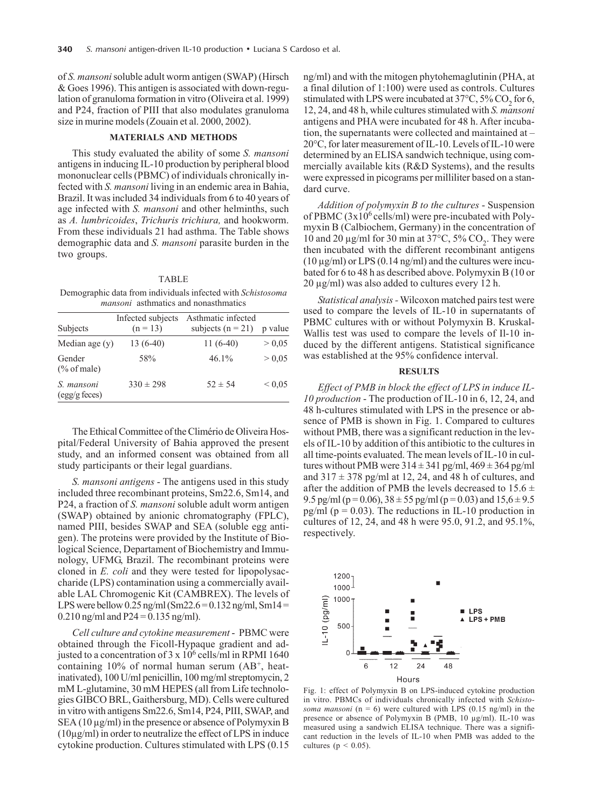of *S. mansoni* soluble adult worm antigen (SWAP) (Hirsch & Goes 1996). This antigen is associated with down-regulation of granuloma formation in vitro (Oliveira et al. 1999) and P24, fraction of PIII that also modulates granuloma size in murine models (Zouain et al. 2000, 2002).

## **MATERIALS AND METHODS**

This study evaluated the ability of some *S. mansoni* antigens in inducing IL-10 production by peripheral blood mononuclear cells (PBMC) of individuals chronically infected with *S. mansoni* living in an endemic area in Bahia, Brazil. It was included 34 individuals from 6 to 40 years of age infected with *S. mansoni* and other helminths, such as *A. lumbricoides*, *Trichuris trichiura,* and hookworm. From these individuals 21 had asthma. The Table shows demographic data and *S. mansoni* parasite burden in the two groups.

#### TABLE

Demographic data from individuals infected with *Schistosoma mansoni* asthmatics and nonasthmatics

| Subjects                         | Infected subjects<br>$(n = 13)$ | Asthmatic infected<br>subjects $(n = 21)$ | p value     |
|----------------------------------|---------------------------------|-------------------------------------------|-------------|
| Median age $(y)$                 | $13(6-40)$                      | $11(6-40)$                                | > 0.05      |
| Gender<br>$\frac{6}{6}$ of male) | 58%                             | $46.1\%$                                  | > 0.05      |
| S. mansoni<br>(egg/g feces)      | $330 \pm 298$                   | $52 \pm 54$                               | ${}_{0.05}$ |

The Ethical Committee of the Climério de Oliveira Hospital/Federal University of Bahia approved the present study, and an informed consent was obtained from all study participants or their legal guardians.

*S. mansoni antigens* - The antigens used in this study included three recombinant proteins, Sm22.6, Sm14, and P24, a fraction of *S. mansoni* soluble adult worm antigen (SWAP) obtained by anionic chromatography (FPLC), named PIII, besides SWAP and SEA (soluble egg antigen). The proteins were provided by the Institute of Biological Science, Departament of Biochemistry and Immunology, UFMG, Brazil. The recombinant proteins were cloned in *E. coli* and they were tested for lipopolysaccharide (LPS) contamination using a commercially available LAL Chromogenic Kit (CAMBREX). The levels of LPS were bellow  $0.25$  ng/ml (Sm22.6 = 0.132 ng/ml, Sm14 = 0.210 ng/ml and  $P24 = 0.135$  ng/ml).

*Cell culture and cytokine measurement* - PBMC were obtained through the Ficoll-Hypaque gradient and adjusted to a concentration of  $3 \times 10^6$  cells/ml in RPMI 1640 containing  $10\%$  of normal human serum  $(AB^+)$ , heatinativated), 100 U/ml penicillin, 100 mg/ml streptomycin, 2 mM L-glutamine, 30 mM HEPES (all from Life technologies GIBCO BRL, Gaithersburg, MD). Cells were cultured in vitro with antigens Sm22.6, Sm14, P24, PIII, SWAP, and SEA (10 µg/ml) in the presence or absence of Polymyxin B  $(10\mu g/ml)$  in order to neutralize the effect of LPS in induce cytokine production. Cultures stimulated with LPS (0.15

ng/ml) and with the mitogen phytohemaglutinin (PHA, at a final dilution of 1:100) were used as controls. Cultures stimulated with LPS were incubated at 37 $\degree$ C, 5% CO<sub>2</sub> for 6, 12, 24, and 48 h, while cultures stimulated with *S. mansoni* antigens and PHA were incubated for 48 h. After incubation, the supernatants were collected and maintained at  $-$ 20°C, for later measurement of IL-10. Levels of IL-10 were determined by an ELISA sandwich technique, using commercially available kits (R&D Systems), and the results were expressed in picograms per milliliter based on a standard curve.

*Addition of polymyxin B to the cultures* - Suspension of PBMC  $(3x10^6 \text{ cells/ml})$  were pre-incubated with Polymyxin B (Calbiochem, Germany) in the concentration of 10 and 20  $\mu$ g/ml for 30 min at 37 $^{\circ}$ C, 5% CO<sub>2</sub>. They were then incubated with the different recombinant antigens  $(10 \mu g/ml)$  or LPS  $(0.14 \mu g/ml)$  and the cultures were incubated for 6 to 48 h as described above. Polymyxin B (10 or 20 µg/ml) was also added to cultures every 12 h.

*Statistical analysis -* Wilcoxon matched pairs test were used to compare the levels of IL-10 in supernatants of PBMC cultures with or without Polymyxin B. Kruskal-Wallis test was used to compare the levels of Il-10 induced by the different antigens. Statistical significance was established at the 95% confidence interval.

## **RESULTS**

*Effect of PMB in block the effect of LPS in induce IL-10 production* - The production of IL-10 in 6, 12, 24, and 48 h-cultures stimulated with LPS in the presence or absence of PMB is shown in Fig. 1. Compared to cultures without PMB, there was a significant reduction in the levels of IL-10 by addition of this antibiotic to the cultures in all time-points evaluated. The mean levels of IL-10 in cultures without PMB were  $314 \pm 341$  pg/ml,  $469 \pm 364$  pg/ml and  $317 \pm 378$  pg/ml at 12, 24, and 48 h of cultures, and after the addition of PMB the levels decreased to  $15.6 \pm$ 9.5 pg/ml (p = 0.06),  $38 \pm 55$  pg/ml (p = 0.03) and  $15.6 \pm 9.5$ pg/ml ( $p = 0.03$ ). The reductions in IL-10 production in cultures of 12, 24, and 48 h were 95.0, 91.2, and 95.1%, respectively.



Fig. 1: effect of Polymyxin B on LPS-induced cytokine production in vitro. PBMCs of individuals chronically infected with *Schistosoma mansoni*  $(n = 6)$  were cultured with LPS  $(0.15 \text{ ng/ml})$  in the presence or absence of Polymyxin B (PMB, 10 µg/ml). IL-10 was measured using a sandwich ELISA technique. There was a significant reduction in the levels of IL-10 when PMB was added to the cultures ( $p < 0.05$ ).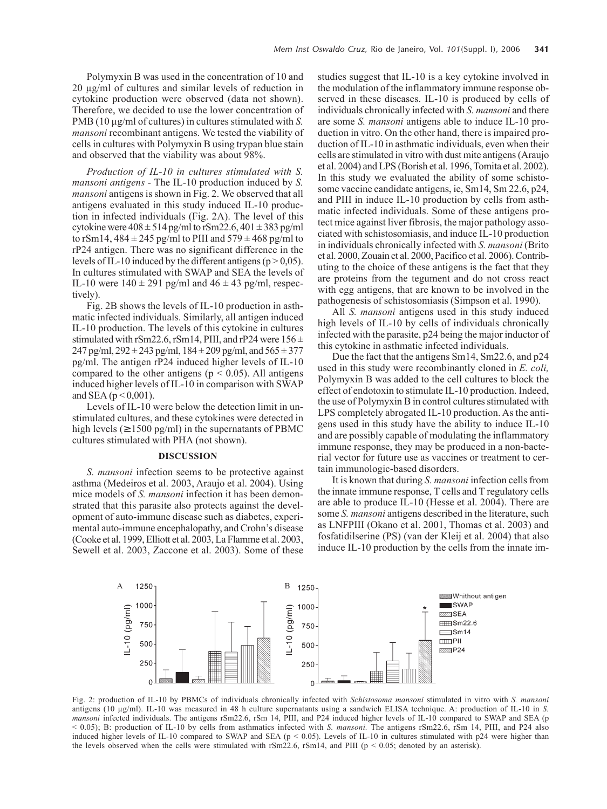Polymyxin B was used in the concentration of 10 and 20 µg/ml of cultures and similar levels of reduction in cytokine production were observed (data not shown). Therefore, we decided to use the lower concentration of PMB (10  $\mu$ g/ml of cultures) in cultures stimulated with *S*. *mansoni* recombinant antigens. We tested the viability of cells in cultures with Polymyxin B using trypan blue stain and observed that the viability was about 98%.

*Production of IL-10 in cultures stimulated with S. mansoni antigens -* The IL-10 production induced by *S. mansoni* antigens is shown in Fig. 2. We observed that all antigens evaluated in this study induced IL-10 production in infected individuals (Fig. 2A). The level of this cytokine were  $408 \pm 514$  pg/ml to rSm22.6,  $401 \pm 383$  pg/ml to rSm14,  $484 \pm 245$  pg/ml to PIII and  $579 \pm 468$  pg/ml to rP24 antigen. There was no significant difference in the levels of IL-10 induced by the different antigens ( $p > 0.05$ ). In cultures stimulated with SWAP and SEA the levels of IL-10 were  $140 \pm 291$  pg/ml and  $46 \pm 43$  pg/ml, respectively).

Fig. 2B shows the levels of IL-10 production in asthmatic infected individuals. Similarly, all antigen induced IL-10 production. The levels of this cytokine in cultures stimulated with rSm22.6, rSm14, PIII, and rP24 were  $156 \pm$ 247 pg/ml,  $292 \pm 243$  pg/ml,  $184 \pm 209$  pg/ml, and  $565 \pm 377$ pg/ml. The antigen rP24 induced higher levels of IL-10 compared to the other antigens ( $p < 0.05$ ). All antigens induced higher levels of IL-10 in comparison with SWAP and SEA ( $p < 0.001$ ).

Levels of IL-10 were below the detection limit in unstimulated cultures, and these cytokines were detected in high levels ( $\geq 1500$  pg/ml) in the supernatants of PBMC cultures stimulated with PHA (not shown).

#### **DISCUSSION**

*S. mansoni* infection seems to be protective against asthma (Medeiros et al. 2003, Araujo et al. 2004). Using mice models of *S. mansoni* infection it has been demonstrated that this parasite also protects against the development of auto-immune disease such as diabetes, experimental auto-immune encephalopathy, and Crohn's disease (Cooke et al. 1999, Elliott et al. 2003, La Flamme et al. 2003, Sewell et al. 2003, Zaccone et al. 2003). Some of these

studies suggest that IL-10 is a key cytokine involved in the modulation of the inflammatory immune response observed in these diseases. IL-10 is produced by cells of individuals chronically infected with *S. mansoni* and there are some *S. mansoni* antigens able to induce IL-10 production in vitro. On the other hand, there is impaired production of IL-10 in asthmatic individuals, even when their cells are stimulated in vitro with dust mite antigens (Araujo et al. 2004) and LPS (Borish et al. 1996, Tomita et al. 2002). In this study we evaluated the ability of some schistosome vaccine candidate antigens, ie, Sm14, Sm 22.6, p24, and PIII in induce IL-10 production by cells from asthmatic infected individuals. Some of these antigens protect mice against liver fibrosis, the major pathology associated with schistosomiasis, and induce IL-10 production in individuals chronically infected with *S. mansoni* (Brito et al. 2000, Zouain et al. 2000, Pacifico et al. 2006). Contributing to the choice of these antigens is the fact that they are proteins from the tegument and do not cross react with egg antigens, that are known to be involved in the pathogenesis of schistosomiasis (Simpson et al. 1990).

All *S. mansoni* antigens used in this study induced high levels of IL-10 by cells of individuals chronically infected with the parasite, p24 being the major inductor of this cytokine in asthmatic infected individuals.

Due the fact that the antigens Sm14, Sm22.6, and p24 used in this study were recombinantly cloned in *E. coli,* Polymyxin B was added to the cell cultures to block the effect of endotoxin to stimulate IL-10 production. Indeed, the use of Polymyxin B in control cultures stimulated with LPS completely abrogated IL-10 production. As the antigens used in this study have the ability to induce IL-10 and are possibly capable of modulating the inflammatory immune response, they may be produced in a non-bacterial vector for future use as vaccines or treatment to certain immunologic-based disorders.

It is known that during *S. mansoni* infection cells from the innate immune response, T cells and T regulatory cells are able to produce IL-10 (Hesse et al. 2004). There are some *S. mansoni* antigens described in the literature, such as LNFPIII (Okano et al. 2001, Thomas et al. 2003) and fosfatidilserine (PS) (van der Kleij et al. 2004) that also induce IL-10 production by the cells from the innate im-



Fig. 2: production of IL-10 by PBMCs of individuals chronically infected with *Schistosoma mansoni* stimulated in vitro with *S. mansoni* antigens (10 µg/ml). IL-10 was measured in 48 h culture supernatants using a sandwich ELISA technique. A: production of IL-10 in *S. mansoni* infected individuals. The antigens rSm22.6, rSm 14, PIII, and P24 induced higher levels of IL-10 compared to SWAP and SEA (p < 0.05); B: production of IL-10 by cells from asthmatics infected with *S. mansoni.* The antigens rSm22.6, rSm 14, PIII, and P24 also induced higher levels of IL-10 compared to SWAP and SEA ( $p < 0.05$ ). Levels of IL-10 in cultures stimulated with p24 were higher than the levels observed when the cells were stimulated with  $rSm22.6$ ,  $rSm14$ , and PIII ( $p < 0.05$ ; denoted by an asterisk).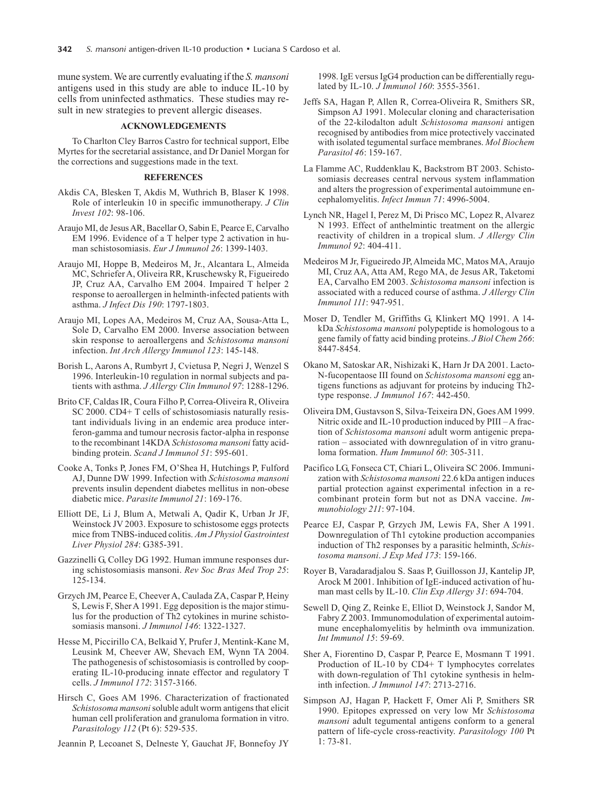mune system. We are currently evaluating if the *S. mansoni* antigens used in this study are able to induce IL-10 by cells from uninfected asthmatics. These studies may result in new strategies to prevent allergic diseases.

### **ACKNOWLEDGEMENTS**

To Charlton Cley Barros Castro for technical support, Elbe Myrtes for the secretarial assistance, and Dr Daniel Morgan for the corrections and suggestions made in the text.

#### **REFERENCES**

- Akdis CA, Blesken T, Akdis M, Wuthrich B, Blaser K 1998. Role of interleukin 10 in specific immunotherapy. *J Clin Invest 102*: 98-106.
- Araujo MI, de Jesus AR, Bacellar O, Sabin E, Pearce E, Carvalho EM 1996. Evidence of a T helper type 2 activation in human schistosomiasis. *Eur J Immunol 26*: 1399-1403.
- Araujo MI, Hoppe B, Medeiros M, Jr., Alcantara L, Almeida MC, Schriefer A, Oliveira RR, Kruschewsky R, Figueiredo JP, Cruz AA, Carvalho EM 2004. Impaired T helper 2 response to aeroallergen in helminth-infected patients with asthma. *J Infect Dis 190*: 1797-1803.
- Araujo MI, Lopes AA, Medeiros M, Cruz AA, Sousa-Atta L, Sole D, Carvalho EM 2000. Inverse association between skin response to aeroallergens and *Schistosoma mansoni* infection. *Int Arch Allergy Immunol 123*: 145-148.
- Borish L, Aarons A, Rumbyrt J, Cvietusa P, Negri J, Wenzel S 1996. Interleukin-10 regulation in normal subjects and patients with asthma. *J Allergy Clin Immunol 97*: 1288-1296.
- Brito CF, Caldas IR, Coura Filho P, Correa-Oliveira R, Oliveira SC 2000. CD4+ T cells of schistosomiasis naturally resistant individuals living in an endemic area produce interferon-gamma and tumour necrosis factor-alpha in response to the recombinant 14KDA *Schistosoma mansoni* fatty acidbinding protein. *Scand J Immunol 51*: 595-601.
- Cooke A, Tonks P, Jones FM, O'Shea H, Hutchings P, Fulford AJ, Dunne DW 1999. Infection with *Schistosoma mansoni* prevents insulin dependent diabetes mellitus in non-obese diabetic mice. *Parasite Immunol 21*: 169-176.
- Elliott DE, Li J, Blum A, Metwali A, Qadir K, Urban Jr JF, Weinstock JV 2003. Exposure to schistosome eggs protects mice from TNBS-induced colitis. *Am J Physiol Gastrointest Liver Physiol 284*: G385-391.
- Gazzinelli G, Colley DG 1992. Human immune responses during schistosomiasis mansoni. *Rev Soc Bras Med Trop 25*: 125-134.
- Grzych JM, Pearce E, Cheever A, Caulada ZA, Caspar P, Heiny S, Lewis F, Sher A 1991. Egg deposition is the major stimulus for the production of Th2 cytokines in murine schistosomiasis mansoni. *J Immunol 146*: 1322-1327.
- Hesse M, Piccirillo CA, Belkaid Y, Prufer J, Mentink-Kane M, Leusink M, Cheever AW, Shevach EM, Wynn TA 2004. The pathogenesis of schistosomiasis is controlled by cooperating IL-10-producing innate effector and regulatory T cells. *J Immunol 172*: 3157-3166.
- Hirsch C, Goes AM 1996. Characterization of fractionated *Schistosoma mansoni* soluble adult worm antigens that elicit human cell proliferation and granuloma formation in vitro. *Parasitology 112* (Pt 6): 529-535.

Jeannin P, Lecoanet S, Delneste Y, Gauchat JF, Bonnefoy JY

1998. IgE versus IgG4 production can be differentially regulated by IL-10. *J Immunol 160*: 3555-3561.

- Jeffs SA, Hagan P, Allen R, Correa-Oliveira R, Smithers SR, Simpson AJ 1991. Molecular cloning and characterisation of the 22-kilodalton adult *Schistosoma mansoni* antigen recognised by antibodies from mice protectively vaccinated with isolated tegumental surface membranes. *Mol Biochem Parasitol 46*: 159-167.
- La Flamme AC, Ruddenklau K, Backstrom BT 2003. Schistosomiasis decreases central nervous system inflammation and alters the progression of experimental autoimmune encephalomyelitis. *Infect Immun 71*: 4996-5004.
- Lynch NR, Hagel I, Perez M, Di Prisco MC, Lopez R, Alvarez N 1993. Effect of anthelmintic treatment on the allergic reactivity of children in a tropical slum. *J Allergy Clin Immunol 92*: 404-411.
- Medeiros M Jr, Figueiredo JP, Almeida MC, Matos MA, Araujo MI, Cruz AA, Atta AM, Rego MA, de Jesus AR, Taketomi EA, Carvalho EM 2003. *Schistosoma mansoni* infection is associated with a reduced course of asthma. *J Allergy Clin Immunol 111*: 947-951.
- Moser D, Tendler M, Griffiths G, Klinkert MQ 1991. A 14 kDa *Schistosoma mansoni* polypeptide is homologous to a gene family of fatty acid binding proteins. *J Biol Chem 266*: 8447-8454.
- Okano M, Satoskar AR, Nishizaki K, Harn Jr DA 2001. Lacto-N-fucopentaose III found on *Schistosoma mansoni* egg antigens functions as adjuvant for proteins by inducing Th2 type response. *J Immunol 167*: 442-450.
- Oliveira DM, Gustavson S, Silva-Teixeira DN, Goes AM 1999. Nitric oxide and IL-10 production induced by  $PIII - A$  fraction of *Schistosoma mansoni* adult worm antigenic preparation – associated with downregulation of in vitro granuloma formation. *Hum Immunol 60*: 305-311.
- Pacifico LG, Fonseca CT, Chiari L, Oliveira SC 2006. Immunization with *Schistosoma mansoni* 22.6 kDa antigen induces partial protection against experimental infection in a recombinant protein form but not as DNA vaccine. *Immunobiology 211*: 97-104.
- Pearce EJ, Caspar P, Grzych JM, Lewis FA, Sher A 1991. Downregulation of Th1 cytokine production accompanies induction of Th2 responses by a parasitic helminth, *Schistosoma mansoni*. *J Exp Med 173*: 159-166.
- Royer B, Varadaradjalou S. Saas P, Guillosson JJ, Kantelip JP, Arock M 2001. Inhibition of IgE-induced activation of human mast cells by IL-10. *Clin Exp Allergy 31*: 694-704.
- Sewell D, Qing Z, Reinke E, Elliot D, Weinstock J, Sandor M, Fabry Z 2003. Immunomodulation of experimental autoimmune encephalomyelitis by helminth ova immunization. *Int Immunol 15*: 59-69.
- Sher A, Fiorentino D, Caspar P, Pearce E, Mosmann T 1991. Production of IL-10 by CD4+ T lymphocytes correlates with down-regulation of Th1 cytokine synthesis in helminth infection. *J Immunol 147*: 2713-2716.
- Simpson AJ, Hagan P, Hackett F, Omer Ali P, Smithers SR 1990. Epitopes expressed on very low Mr *Schistosoma mansoni* adult tegumental antigens conform to a general pattern of life-cycle cross-reactivity. *Parasitology 100* Pt 1: 73-81.